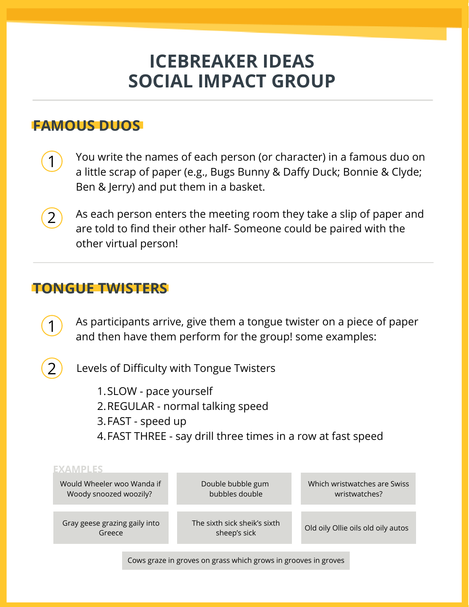# **ICEBREAKER IDEAS SOCIAL IMPACT GROUP**

# **FAMOUS DUOS**

- You write the names of each person (or character) in a famous duo on a little scrap of paper (e.g., Bugs Bunny & Daffy Duck; Bonnie & Clyde; Ben & Jerry) and put them in a basket. 1
- As each person enters the meeting room they take a slip of paper and are told to find their other half- Someone could be paired with the other virtual person! 2

### **TONGUE TWISTERS**

 $\bigcup$ 

As participants arrive, give them a tongue twister on a piece of paper and then have them perform for the group! some examples:

Levels of Difficulty with Tongue Twisters

- 1. SLOW pace yourself
- 2.REGULAR normal talking speed
- FAST speed up 3.
- FAST THREE say drill three times in a row at fast speed 4.

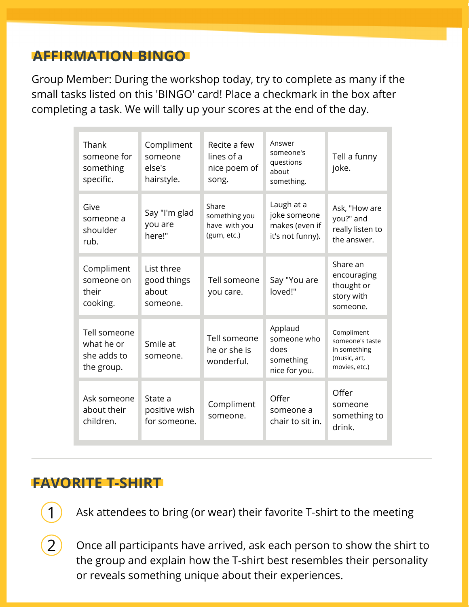## **AFFIRMATION BINGO**

Group Member: During the workshop today, try to complete as many if the small tasks listed on this 'BINGO' card! Place a checkmark in the box after completing a task. We will tally up your scores at the end of the day.

| Thank<br>someone for<br>something<br>specific.          | Compliment<br>someone<br>else's<br>hairstyle.  | Recite a few<br>lines of a<br>nice poem of<br>song.    | Answer<br>someone's<br>questions<br>about<br>something.          | Tell a funny<br>joke.                                                          |
|---------------------------------------------------------|------------------------------------------------|--------------------------------------------------------|------------------------------------------------------------------|--------------------------------------------------------------------------------|
| Give<br>someone a<br>shoulder<br>rub.                   | Say "I'm glad<br>you are<br>here!"             | Share<br>something you<br>have with you<br>(gum, etc.) | Laugh at a<br>joke someone<br>makes (even if<br>it's not funny). | Ask, "How are<br>you?" and<br>really listen to<br>the answer.                  |
| Compliment<br>someone on<br>their<br>cooking.           | List three<br>good things<br>about<br>someone. | Tell someone<br>you care.                              | Say "You are<br>loved!"                                          | Share an<br>encouraging<br>thought or<br>story with<br>someone.                |
| Tell someone<br>what he or<br>she adds to<br>the group. | Smile at<br>someone.                           | Tell someone<br>he or she is<br>wonderful.             | Applaud<br>someone who<br>does<br>something<br>nice for you.     | Compliment<br>someone's taste<br>in something<br>(music, art,<br>movies, etc.) |
| Ask someone<br>about their<br>children.                 | State a<br>positive wish<br>for someone.       | Compliment<br>someone.                                 | Offer<br>someone a<br>chair to sit in.                           | Offer<br>someone<br>something to<br>drink.                                     |

### **FAVORITE T-SHIRT**

2

Ask attendees to bring (or wear) their favorite T-shirt to the meeting

Once all participants have arrived, ask each person to show the shirt to the group and explain how the T-shirt best resembles their personality or reveals something unique about their experiences.